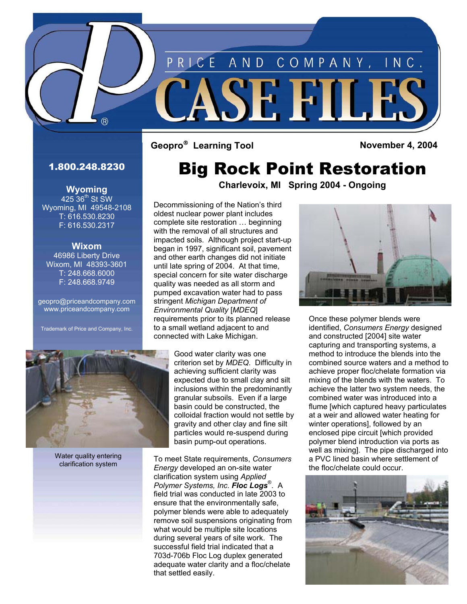

RICE

## 1.800.248.8230

 $(R)$ 

**Wyoming**   $425.36^{\text{th}}$  St SW Wyoming, MI 49548-2108 T: 616.530.8230 F: 616.530.2317

**Wixom**  46986 Liberty Drive Wixom, MI 48393-3601 T: 248.668.6000 F: 248.668.9749

[geopro@priceandcompany.com](mailto:geopro@priceandcompany.com)  [www.priceandcompany.com](http://www.priceandcompany.com) 

Trademark of Price and Company, Inc.



Water quality entering clarification system

## Big Rock Point Restoration

AND COMPANY, INC.

SE FILE

**Charlevoix, MI Spring 2004 - Ongoing** 

Decommissioning of the Nation's third oldest nuclear power plant includes complete site restoration … beginning with the removal of all structures and impacted soils. Although project start-up began in 1997, significant soil, pavement and other earth changes did not initiate until late spring of 2004. At that time, special concern for site water discharge quality was needed as all storm and pumped excavation water had to pass stringent *Michigan Department of Environmental Quality* [*MDEQ*] requirements prior to its planned release to a small wetland adjacent to and connected with Lake Michigan.

> Good water clarity was one criterion set by *MDEQ*. Difficulty in achieving sufficient clarity was expected due to small clay and silt inclusions within the predominantly granular subsoils. Even if a large basin could be constructed, the colloidal fraction would not settle by gravity and other clay and fine silt particles would re-suspend during basin pump-out operations.

To meet State requirements, *Consumers Energy* developed an on-site water clarification system using *Applied Polymer Systems, Inc. Floc Logs*® . A field trial was conducted in late 2003 to ensure that the environmentally safe, polymer blends were able to adequately remove soil suspensions originating from what would be multiple site locations during several years of site work. The successful field trial indicated that a 703d-706b Floc Log duplex generated adequate water clarity and a floc/chelate that settled easily.



Once these polymer blends were identified, *Consumers Energy* designed and constructed [2004] site water capturing and transporting systems, a method to introduce the blends into the combined source waters and a method to achieve proper floc/chelate formation via mixing of the blends with the waters. To achieve the latter two system needs, the combined water was introduced into a flume [which captured heavy particulates at a weir and allowed water heating for winter operations], followed by an enclosed pipe circuit [which provided polymer blend introduction via ports as well as mixing]. The pipe discharged into a PVC lined basin where settlement of the floc/chelate could occur.